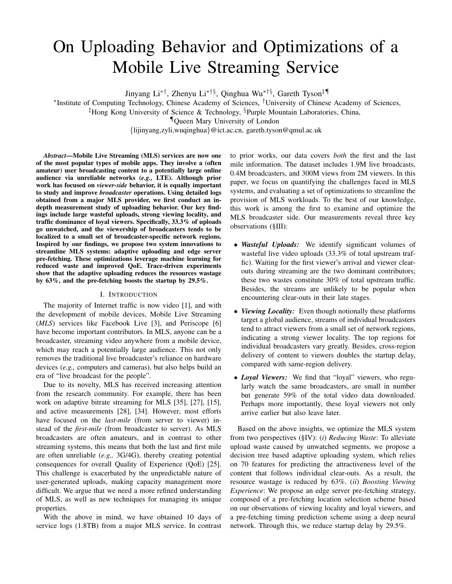# On Uploading Behavior and Optimizations of a Mobile Live Streaming Service

Jinyang Li∗†, Zhenyu Li∗†§, Qinghua Wu∗†§, Gareth Tyson‡¶

∗ Institute of Computing Technology, Chinese Academy of Sciences, †University of Chinese Academy of Sciences,

<sup>‡</sup>Hong Kong University of Science & Technology, <sup>§</sup>Purple Mountain Laboratories, China,

¶Queen Mary University of London

{lijinyang,zyli,wuqinghua}@ict.ac.cn, gareth.tyson@qmul.ac.uk

*Abstract*—Mobile Live Streaming (MLS) services are now one of the most popular types of mobile apps. They involve a (often amateur) user broadcasting content to a potentially large online audience via unreliable networks (*e.g.,* LTE). Although prior work has focused on *viewer-side* behavior, it is equally important to study and improve *broadcaster* operations. Using detailed logs obtained from a major MLS provider, we first conduct an indepth measurement study of uploading behavior. Our key findings include large wasteful uploads, strong viewing locality, and traffic dominance of loyal viewers. Specifically, 33.3% of uploads go unwatched, and the viewership of broadcasters tends to be localized to a small set of broadcaster-specific network regions. Inspired by our findings, we propose two system innovations to streamline MLS systems: adaptive uploading and edge server pre-fetching. These optimizations leverage machine learning for reduced waste and improved QoE. Trace-driven experiments show that the adaptive uploading reduces the resources wastage by 63%, and the pre-fetching boosts the startup by 29.5%.

## I. INTRODUCTION

The majority of Internet traffic is now video [1], and with the development of mobile devices, Mobile Live Streaming (*MLS*) services like Facebook Live [3], and Periscope [6] have become important contributors. In MLS, anyone can be a broadcaster, streaming video anywhere from a mobile device, which may reach a potentially large audience. This not only removes the traditional live broadcaster's reliance on hardware devices (*e.g.,* computers and cameras), but also helps build an era of "live broadcast for the people".

Due to its novelty, MLS has received increasing attention from the research community. For example, there has been work on adaptive bitrate streaming for MLS [35], [27], [15], and active measurements [28], [34]. However, most efforts have focused on the *last-mile* (from server to viewer) instead of the *first-mile* (from broadcaster to server). As MLS broadcasters are often amateurs, and in contrast to other streaming systems, this means that both the last and first mile are often unreliable (*e.g.,* 3G/4G), thereby creating potential consequences for overall Quality of Experience (QoE) [25]. This challenge is exacerbated by the unpredictable nature of user-generated uploads, making capacity management more difficult. We argue that we need a more refined understanding of MLS, as well as new techniques for managing its unique properties.

With the above in mind, we have obtained 10 days of service logs (1.8TB) from a major MLS service. In contrast to prior works, our data covers *both* the first and the last mile information. The dataset includes 1.9M live broadcasts, 0.4M broadcasters, and 300M views from 2M viewers. In this paper, we focus on quantifying the challenges faced in MLS systems, and evaluating a set of optimizations to streamline the provision of MLS workloads. To the best of our knowledge, this work is among the first to examine and optimize the MLS broadcaster side. Our measurements reveal three key observations (§III):

- *Wasteful Uploads:* We identify significant volumes of wasteful live video uploads (33.3% of total upstream traffic). Waiting for the first viewer's arrival and viewer clearouts during streaming are the two dominant contributors; these two wastes constitute 30% of total upstream traffic. Besides, the streams are unlikely to be popular when encountering clear-outs in their late stages.
- *Viewing Locality:* Even though notionally these platforms target a global audience, streams of individual broadcasters tend to attract viewers from a small set of network regions, indicating a strong viewer locality. The top regions for individual broadcasters vary greatly. Besides, cross-region delivery of content to viewers doubles the startup delay, compared with same-region delivery.
- *Loyal Viewers:* We find that "loyal" viewers, who regularly watch the same broadcasters, are small in number but generate 59% of the total video data downloaded. Perhaps more importantly, these loyal viewers not only arrive earlier but also leave later.

Based on the above insights, we optimize the MLS system from two perspectives (§IV): (*i*) *Reducing Waste*: To alleviate upload waste caused by unwatched segments, we propose a decision tree based adaptive uploading system, which relies on 70 features for predicting the attractiveness level of the content that follows individual clear-outs. As a result, the resource wastage is reduced by 63%. (*ii*) *Boosting Viewing Experience*: We propose an edge server pre-fetching strategy, composed of a pre-fetching location selection scheme based on our observations of viewing locality and loyal viewers, and a pre-fetching timing prediction scheme using a deep neural network. Through this, we reduce startup delay by 29.5%.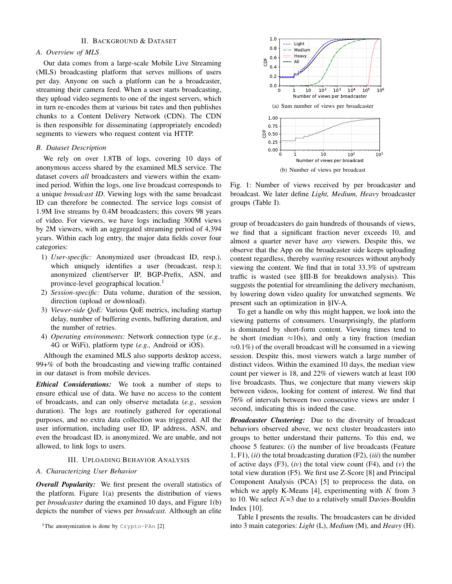## II. BACKGROUND & DATASET

## *A. Overview of MLS*

Our data comes from a large-scale Mobile Live Streaming (MLS) broadcasting platform that serves millions of users per day. Anyone on such a platform can be a broadcaster, streaming their camera feed. When a user starts broadcasting, they upload video segments to one of the ingest servers, which in turn re-encodes them at various bit rates and then publishes chunks to a Content Delivery Network (CDN). The CDN is then responsible for disseminating (appropriately encoded) segments to viewers who request content via HTTP.

#### *B. Dataset Description*

We rely on over 1.8TB of logs, covering 10 days of anonymous access shared by the examined MLS service. The dataset covers *all* broadcasters and viewers within the examined period. Within the logs, one live broadcast corresponds to a unique *broadcast ID*. Viewing logs with the same broadcast ID can therefore be connected. The service logs consist of 1.9M live streams by 0.4M broadcasters; this covers 98 years of video. For viewers, we have logs including 300M views by 2M viewers, with an aggregated streaming period of 4,394 years. Within each log entry, the major data fields cover four categories:

- 1) *User-specific:* Anonymized user (broadcast ID, resp.), which uniquely identifies a user (broadcast, resp.); anonymized client/server IP, BGP-Prefix, ASN, and province-level geographical location.<sup>1</sup>
- 2) *Session-specific:* Data volume, duration of the session, direction (upload or download).
- 3) *Viewer-side QoE:* Various QoE metrics, including startup delay, number of buffering events, buffering duration, and the number of retries.
- 4) *Operating environments:* Network connection type (*e.g.,* 4G or WiFi), platform type (*e.g.,* Android or iOS).

Although the examined MLS also supports desktop access, 99+% of both the broadcasting and viewing traffic contained in our dataset is from mobile devices.

*Ethical Considerations:* We took a number of steps to ensure ethical use of data. We have no access to the content of broadcasts, and can only observe metadata (*e.g.,* session duration). The logs are routinely gathered for operational purposes, and no extra data collection was triggered. All the user information, including user ID, IP address, ASN, and even the broadcast ID, is anonymized. We are unable, and not allowed, to link logs to users.

## III. UPLOADING BEHAVIOR ANALYSIS

## *A. Characterizing User Behavior*

*Overall Popularity:* We first present the overall statistics of the platform. Figure 1(a) presents the distribution of views per *broadcaster* during the examined 10 days, and Figure 1(b) depicts the number of views per *broadcast*. Although an elite



(b) Number of views per broadcast

Fig. 1: Number of views received by per broadcaster and broadcast. We later define *Light, Medium, Heavy* broadcaster groups (Table I).

group of broadcasters do gain hundreds of thousands of views, we find that a significant fraction never exceeds 10, and almost a quarter never have *any* viewers. Despite this, we observe that the App on the broadcaster side keeps uploading content regardless, thereby *wasting* resources without anybody viewing the content. We find that in total 33.3% of upstream traffic is wasted (see §III-B for breakdown analysis). This suggests the potential for streamlining the delivery mechanism, by lowering down video quality for unwatched segments. We present such an optimization in §IV-A.

To get a handle on why this might happen, we look into the viewing patterns of consumers. Unsurprisingly, the platform is dominated by short-form content. Viewing times tend to be short (median  $\approx 10$ s), and only a tiny fraction (median  $\approx 0.1\%$ ) of the overall broadcast will be consumed in a viewing session. Despite this, most viewers watch a large number of distinct videos. Within the examined 10 days, the median view count per viewer is 18, and 22% of viewers watch at least 100 live broadcasts. Thus, we conjecture that many viewers skip between videos, looking for content of interest. We find that 76% of intervals between two consecutive views are under 1 second, indicating this is indeed the case.

*Broadcaster Clustering:* Due to the diversity of broadcast behaviors observed above, we next cluster broadcasters into groups to better understand their patterns. To this end, we choose 5 features: (*i*) the number of live broadcasts (Feature 1, F1), (*ii*) the total broadcasting duration (F2), (*iii*) the number of active days (F3), (*iv*) the total view count (F4), and (*v*) the total view duration (F5). We first use Z-Score [8] and Principal Component Analysis (PCA) [5] to preprocess the data, on which we apply K-Means [4], experimenting with  $K$  from 3 to 10. We select  $K=3$  due to a relatively small Davies-Bouldin Index [10].

Table I presents the results. The broadcasters can be divided into 3 main categories: *Light* (L), *Medium* (M), and *Heavy* (H).

<sup>&</sup>lt;sup>1</sup>The anonymization is done by  $Crypto-PAn [2]$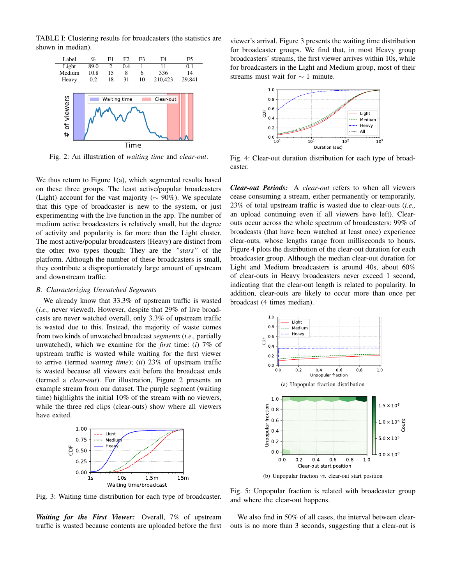TABLE I: Clustering results for broadcasters (the statistics are shown in median).



Fig. 2: An illustration of *waiting time* and *clear-out*.

We thus return to Figure 1(a), which segmented results based on these three groups. The least active/popular broadcasters (Light) account for the vast majority ( $\sim$  90%). We speculate that this type of broadcaster is new to the system, or just experimenting with the live function in the app. The number of medium active broadcasters is relatively small, but the degree of activity and popularity is far more than the Light cluster. The most active/popular broadcasters (Heavy) are distinct from the other two types though: They are the *"stars"* of the platform. Although the number of these broadcasters is small, they contribute a disproportionately large amount of upstream and downstream traffic.

#### *B. Characterizing Unwatched Segments*

We already know that 33.3% of upstream traffic is wasted (*i.e.,* never viewed). However, despite that 29% of live broadcasts are never watched overall, only 3.3% of upstream traffic is wasted due to this. Instead, the majority of waste comes from two kinds of unwatched broadcast *segments* (*i.e.,* partially unwatched), which we examine for the *first* time: (*i*) 7% of upstream traffic is wasted while waiting for the first viewer to arrive (termed *waiting time*); (*ii*) 23% of upstream traffic is wasted because all viewers exit before the broadcast ends (termed a *clear-out*). For illustration, Figure 2 presents an example stream from our dataset. The purple segment (waiting time) highlights the initial 10% of the stream with no viewers, while the three red clips (clear-outs) show where all viewers have exited.



Fig. 3: Waiting time distribution for each type of broadcaster.

*Waiting for the First Viewer:* Overall, 7% of upstream traffic is wasted because contents are uploaded before the first

viewer's arrival. Figure 3 presents the waiting time distribution for broadcaster groups. We find that, in most Heavy group broadcasters' streams, the first viewer arrives within 10s, while for broadcasters in the Light and Medium group, most of their streams must wait for ∼ 1 minute.



Fig. 4: Clear-out duration distribution for each type of broadcaster.

*Clear-out Periods:* A *clear-out* refers to when all viewers cease consuming a stream, either permanently or temporarily. 23% of total upstream traffic is wasted due to clear-outs (*i.e.,* an upload continuing even if all viewers have left). Clearouts occur across the whole spectrum of broadcasters: 99% of broadcasts (that have been watched at least once) experience clear-outs, whose lengths range from milliseconds to hours. Figure 4 plots the distribution of the clear-out duration for each broadcaster group. Although the median clear-out duration for Light and Medium broadcasters is around 40s, about 60% of clear-outs in Heavy broadcasters never exceed 1 second, indicating that the clear-out length is related to popularity. In addition, clear-outs are likely to occur more than once per broadcast (4 times median).



(b) Unpopular fraction *vs.* clear-out start position

Fig. 5: Unpopular fraction is related with broadcaster group and where the clear-out happens.

We also find in 50% of all cases, the interval between clearouts is no more than 3 seconds, suggesting that a clear-out is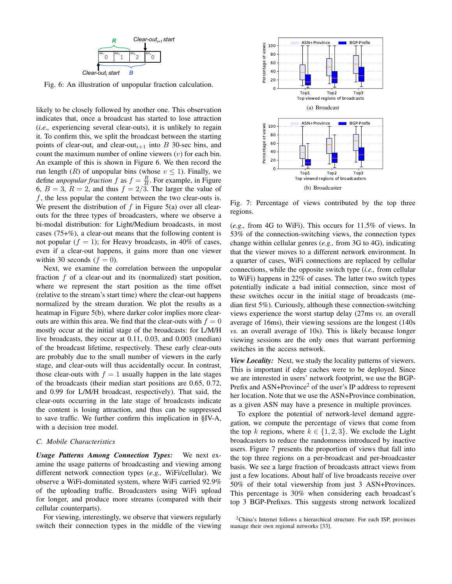

Fig. 6: An illustration of unpopular fraction calculation.

likely to be closely followed by another one. This observation indicates that, once a broadcast has started to lose attraction (*i.e.,* experiencing several clear-outs), it is unlikely to regain it. To confirm this, we split the broadcast between the starting points of clear-out<sub>i</sub> and clear-out<sub>i+1</sub> into B 30-sec bins, and count the maximum number of online viewers  $(v)$  for each bin. An example of this is shown in Figure 6. We then record the run length (R) of unpopular bins (whose  $v \le 1$ ). Finally, we define *unpopular fraction*  $f$  as  $f = \frac{R}{B}$ . For example, in Figure 6,  $B = 3$ ,  $R = 2$ , and thus  $f = 2/3$ . The larger the value of  $f$ , the less popular the content between the two clear-outs is. We present the distribution of  $f$  in Figure 5(a) over all clearouts for the three types of broadcasters, where we observe a bi-modal distribution: for Light/Medium broadcasts, in most cases (75+%), a clear-out means that the following content is not popular ( $f = 1$ ); for Heavy broadcasts, in 40% of cases, even if a clear-out happens, it gains more than one viewer within 30 seconds  $(f = 0)$ .

Next, we examine the correlation between the unpopular fraction f of a clear-out and its (normalized) start position, where we represent the start position as the time offset (relative to the stream's start time) where the clear-out happens normalized by the stream duration. We plot the results as a heatmap in Figure 5(b), where darker color implies more clearouts are within this area. We find that the clear-outs with  $f = 0$ mostly occur at the initial stage of the broadcasts: for L/M/H live broadcasts, they occur at 0.11, 0.03, and 0.003 (median) of the broadcast lifetime, respectively. These early clear-outs are probably due to the small number of viewers in the early stage, and clear-outs will thus accidentally occur. In contrast, those clear-outs with  $f = 1$  usually happen in the late stages of the broadcasts (their median start positions are 0.65, 0.72, and 0.99 for L/M/H broadcast, respectively). That said, the clear-outs occurring in the late stage of broadcasts indicate the content is losing attraction, and thus can be suppressed to save traffic. We further confirm this implication in §IV-A, with a decision tree model.

## *C. Mobile Characteristics*

*Usage Patterns Among Connection Types:* We next examine the usage patterns of broadcasting and viewing among different network connection types (*e.g.,* WiFi/cellular). We observe a WiFi-dominated system, where WiFi carried 92.9% of the uploading traffic. Broadcasters using WiFi upload for longer, and produce more streams (compared with their cellular counterparts).

For viewing, interestingly, we observe that viewers regularly switch their connection types in the middle of the viewing



Fig. 7: Percentage of views contributed by the top three regions.

(*e.g.,* from 4G to WiFi). This occurs for 11.5% of views. In 53% of the connection-switching views, the connection types change within cellular genres (*e.g.,* from 3G to 4G), indicating that the viewer moves to a different network environment. In a quarter of cases, WiFi connections are replaced by cellular connections, while the opposite switch type (*i.e.,* from cellular to WiFi) happens in 22% of cases. The latter two switch types potentially indicate a bad initial connection, since most of these switches occur in the initial stage of broadcasts (median first 5%). Curiously, although these connection-switching views experience the worst startup delay (27ms *vs.* an overall average of 16ms), their viewing sessions are the longest (140s *vs.* an overall average of 10s). This is likely because longer viewing sessions are the only ones that warrant performing switches in the access network.

*View Locality:* Next, we study the locality patterns of viewers. This is important if edge caches were to be deployed. Since we are interested in users' network footprint, we use the BGP-Prefix and ASN+Province<sup>2</sup> of the user's IP address to represent her location. Note that we use the ASN+Province combination, as a given ASN may have a presence in multiple provinces.

To explore the potential of network-level demand aggregation, we compute the percentage of views that come from the top k regions, where  $k \in \{1, 2, 3\}$ . We exclude the Light broadcasters to reduce the randomness introduced by inactive users. Figure 7 presents the proportion of views that fall into the top three regions on a per-broadcast and per-broadcaster basis. We see a large fraction of broadcasts attract views from just a few locations. About half of live broadcasts receive over 50% of their total viewership from just 3 ASN+Provinces. This percentage is 30% when considering each broadcast's top 3 BGP-Prefixes. This suggests strong network localized

<sup>2</sup>China's Internet follows a hierarchical structure. For each ISP, provinces manage their own regional networks [33].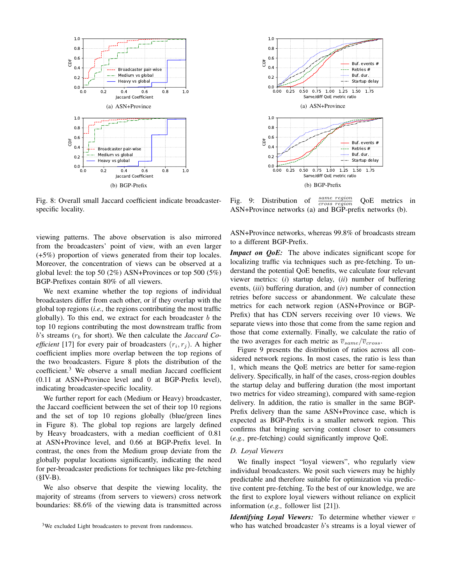

Fig. 8: Overall small Jaccard coefficient indicate broadcasterspecific locality.

viewing patterns. The above observation is also mirrored from the broadcasters' point of view, with an even larger (+5%) proportion of views generated from their top locales. Moreover, the concentration of views can be observed at a global level: the top 50 (2%) ASN+Provinces or top 500 (5%) BGP-Prefixes contain 80% of all viewers.

We next examine whether the top regions of individual broadcasters differ from each other, or if they overlap with the global top regions (*i.e.,* the regions contributing the most traffic globally). To this end, we extract for each broadcaster  $b$  the top 10 regions contributing the most downstream traffic from  $b$ 's streams  $(r_b)$  for short). We then calculate the *Jaccard Coefficient* [17] for every pair of broadcasters  $(r_i, r_j)$ . A higher coefficient implies more overlap between the top regions of the two broadcasters. Figure 8 plots the distribution of the coefficient.<sup>3</sup> We observe a small median Jaccard coefficient (0.11 at ASN+Province level and 0 at BGP-Prefix level), indicating broadcaster-specific locality.

We further report for each (Medium or Heavy) broadcaster, the Jaccard coefficient between the set of their top 10 regions and the set of top 10 regions globally (blue/green lines in Figure 8). The global top regions are largely defined by Heavy broadcasters, with a median coefficient of 0.81 at ASN+Province level, and 0.66 at BGP-Prefix level. In contrast, the ones from the Medium group deviate from the globally popular locations significantly, indicating the need for per-broadcaster predictions for techniques like pre-fetching  $( $\S$ IV-B).$ 

We also observe that despite the viewing locality, the majority of streams (from servers to viewers) cross network boundaries: 88.6% of the viewing data is transmitted across



Fig. 9: Distribution of  $\frac{same\ region}{cross\ region}$ QoE metrics in ASN+Province networks (a) and BGP-prefix networks (b).

ASN+Province networks, whereas 99.8% of broadcasts stream to a different BGP-Prefix.

*Impact on QoE:* The above indicates significant scope for localizing traffic via techniques such as pre-fetching. To understand the potential QoE benefits, we calculate four relevant viewer metrics: (*i*) startup delay, (*ii*) number of buffering events, (*iii*) buffering duration, and (*iv*) number of connection retries before success or abandonment. We calculate these metrics for each network region (ASN+Province or BGP-Prefix) that has CDN servers receiving over 10 views. We separate views into those that come from the same region and those that come externally. Finally, we calculate the ratio of the two averages for each metric as  $\overline{v}_{same}/\overline{v}_{cross}$ .

Figure 9 presents the distribution of ratios across all considered network regions. In most cases, the ratio is less than 1, which means the QoE metrics are better for same-region delivery. Specifically, in half of the cases, cross-region doubles the startup delay and buffering duration (the most important two metrics for video streaming), compared with same-region delivery. In addition, the ratio is smaller in the same BGP-Prefix delivery than the same ASN+Province case, which is expected as BGP-Prefix is a smaller network region. This confirms that bringing serving content closer to consumers (*e.g.,* pre-fetching) could significantly improve QoE.

### *D. Loyal Viewers*

We finally inspect "loyal viewers", who regularly view individual broadcasters. We posit such viewers may be highly predictable and therefore suitable for optimization via predictive content pre-fetching. To the best of our knowledge, we are the first to explore loyal viewers without reliance on explicit information (*e.g.,* follower list [21]).

*Identifying Loyal Viewers:* To determine whether viewer v who has watched broadcaster b's streams is a loyal viewer of

<sup>&</sup>lt;sup>3</sup>We excluded Light broadcasters to prevent from randomness.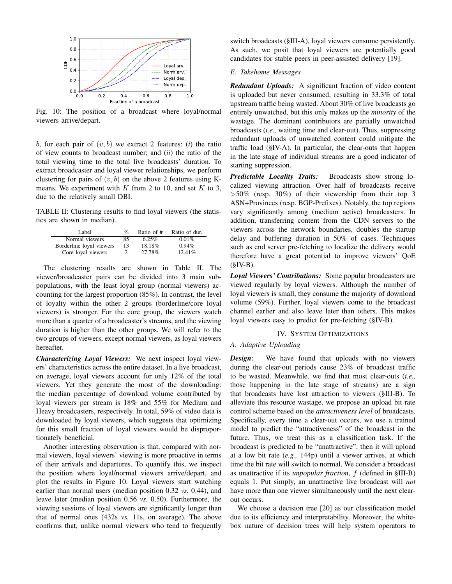

Fig. 10: The position of a broadcast where loyal/normal viewers arrive/depart.

b, for each pair of  $(v, b)$  we extract 2 features:  $(i)$  the ratio of view counts to broadcast number; and (*ii*) the ratio of the total viewing time to the total live broadcasts' duration. To extract broadcaster and loyal viewer relationships, we perform clustering for pairs of  $(v, b)$  on the above 2 features using Kmeans. We experiment with  $K$  from 2 to 10, and set  $K$  to 3, due to the relatively small DBI.

TABLE II: Clustering results to find loyal viewers (the statistics are shown in median).

| Label                    | ዱ  | Ratio of $#$ | Ratio of dur. |
|--------------------------|----|--------------|---------------|
| Normal viewers           | 85 | $6.25\%$     | 0.01%         |
| Borderline loyal viewers | 13 | 18.18%       | 0.94%         |
| Core loyal viewers       |    | 27.78%       | $12.41\%$     |

The clustering results are shown in Table II. The viewer/broadcaster pairs can be divided into 3 main subpopulations, with the least loyal group (normal viewers) accounting for the largest proportion (85%). In contrast, the level of loyalty within the other 2 groups (borderline/core loyal viewers) is stronger. For the core group, the viewers watch more than a quarter of a broadcaster's streams, and the viewing duration is higher than the other groups. We will refer to the two groups of viewers, except normal viewers, as loyal viewers hereafter.

*Characterizing Loyal Viewers:* We next inspect loyal viewers' characteristics across the entire dataset. In a live broadcast, on average, loyal viewers account for only 12% of the total viewers. Yet they generate the most of the downloading: the median percentage of download volume contributed by loyal viewers per stream is 18% and 55% for Medium and Heavy broadcasters, respectively. In total, 59% of video data is downloaded by loyal viewers, which suggests that optimizing for this small fraction of loyal viewers would be disproportionately beneficial.

Another interesting observation is that, compared with normal viewers, loyal viewers' viewing is more proactive in terms of their arrivals and departures. To quantify this, we inspect the position where loyal/normal viewers arrive/depart, and plot the results in Figure 10. Loyal viewers start watching earlier than normal users (median position 0.32 *vs.* 0.44), and leave later (median position 0.56 *vs.* 0.50). Furthermore, the viewing sessions of loyal viewers are significantly longer than that of normal ones (432s *vs.* 11s, on average). The above confirms that, unlike normal viewers who tend to frequently switch broadcasts (§III-A), loyal viewers consume persistently. As such, we posit that loyal viewers are potentially good candidates for stable peers in peer-assisted delivery [19].

## *E. Takehome Messages*

*Redundant Uploads:* A significant fraction of video content is uploaded but never consumed, resulting in 33.3% of total upstream traffic being wasted. About 30% of live broadcasts go entirely unwatched, but this only makes up the *minority* of the wastage. The dominant contributors are partially unwatched broadcasts (*i.e.,* waiting time and clear-out). Thus, suppressing redundant uploads of unwatched content could mitigate the traffic load (§IV-A). In particular, the clear-outs that happen in the late stage of individual streams are a good indicator of starting suppression.

*Predictable Locality Traits:* Broadcasts show strong localized viewing attraction. Over half of broadcasts receive  $>50\%$  (resp. 30%) of their viewership from their top 3 ASN+Provinces (resp. BGP-Prefixes). Notably, the top regions vary significantly among (medium active) broadcasters. In addition, transferring content from the CDN servers to the viewers across the network boundaries, doubles the startup delay and buffering duration in 50% of cases. Techniques such as end server pre-fetching to localize the delivery would therefore have a great potential to improve viewers' QoE  $(SIV-B)$ .

*Loyal Viewers' Contributions:* Some popular broadcasters are viewed regularly by loyal viewers. Although the number of loyal viewers is small, they consume the majority of download volume (59%). Further, loyal viewers come to the broadcast channel earlier and also leave later than others. This makes loyal viewers easy to predict for pre-fetching (§IV-B).

## IV. SYSTEM OPTIMIZATIONS

# *A. Adaptive Uploading*

*Design:* We have found that uploads with no viewers during the clear-out periods cause 23% of broadcast traffic to be wasted. Meanwhile, we find that most clear-outs (*i.e.,* those happening in the late stage of streams) are a sign that broadcasts have lost attraction to viewers (§III-B). To alleviate this resource wastage, we propose an upload bit rate control scheme based on the *attractiveness level* of broadcasts. Specifically, every time a clear-out occurs, we use a trained model to predict the "attractiveness" of the broadcast in the future. Thus, we treat this as a classification task. If the broadcast is predicted to be "unattractive", then it will upload at a low bit rate (*e.g.,* 144p) until a viewer arrives, at which time the bit rate will switch to normal. We consider a broadcast as unattractive if its *unpopular fraction*, f (defined in §III-B) equals 1. Put simply, an unattractive live broadcast will *not* have more than one viewer simultaneously until the next clearout occurs.

We choose a decision tree [20] as our classification model due to its efficiency and interpretability. Moreover, the whitebox nature of decision trees will help system operators to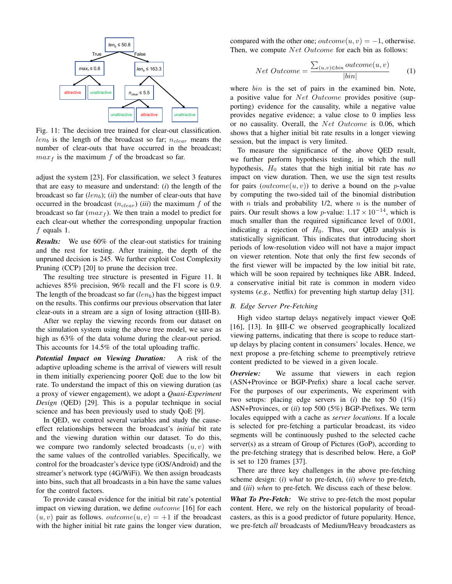

Fig. 11: The decision tree trained for clear-out classification.  $len_b$  is the length of the broadcast so far;  $n_{clear}$  means the number of clear-outs that have occurred in the broadcast;  $max<sub>f</sub>$  is the maximum f of the broadcast so far.

adjust the system [23]. For classification, we select 3 features that are easy to measure and understand: (*i*) the length of the broadcast so far  $(len_b); (ii)$  the number of clear-outs that have occurred in the broadcast  $(n_{clear})$  *(iii)* the maximum f of the broadcast so far  $(max_f)$ . We then train a model to predict for each clear-out whether the corresponding unpopular fraction f equals 1.

*Results:* We use 60% of the clear-out statistics for training and the rest for testing. After training, the depth of the unpruned decision is 245. We further exploit Cost Complexity Pruning (CCP) [20] to prune the decision tree.

The resulting tree structure is presented in Figure 11. It achieves 85% precision, 96% recall and the F1 score is 0.9. The length of the broadcast so far  $(len_b)$  has the biggest impact on the results. This confirms our previous observation that later clear-outs in a stream are a sign of losing attraction (§III-B).

After we replay the viewing records from our dataset on the simulation system using the above tree model, we save as high as 63% of the data volume during the clear-out period. This accounts for 14.5% of the total uploading traffic.

*Potential Impact on Viewing Duration:* A risk of the adaptive uploading scheme is the arrival of viewers will result in them initially experiencing poorer QoE due to the low bit rate. To understand the impact of this on viewing duration (as a proxy of viewer engagement), we adopt a *Quasi-Experiment Design* (QED) [29]. This is a popular technique in social science and has been previously used to study QoE [9].

In QED, we control several variables and study the causeeffect relationships between the broadcast's *initial* bit rate and the viewing duration within our dataset. To do this, we compare two randomly selected broadcasts  $(u, v)$  with the same values of the controlled variables. Specifically, we control for the broadcaster's device type (iOS/Android) and the streamer's network type (4G/WiFi). We then assign broadcasts into bins, such that all broadcasts in a bin have the same values for the control factors.

To provide causal evidence for the initial bit rate's potential impact on viewing duration, we define *outcome* [16] for each  $(u, v)$  pair as follows. *outcome* $(u, v) = +1$  if the broadcast with the higher initial bit rate gains the longer view duration, compared with the other one;  $outcome(u, v) = -1$ , otherwise. Then, we compute *Net Outcome* for each bin as follows:

$$
Net\ Outcome = \frac{\sum_{(u,v)\in bin}\ outcome(u,v)}{|bin|}\tag{1}
$$

where *bin* is the set of pairs in the examined bin. Note, a positive value for Net Outcome provides positive (supporting) evidence for the causality, while a negative value provides negative evidence; a value close to 0 implies less or no causality. Overall, the Net Outcome is 0.06, which shows that a higher initial bit rate results in a longer viewing session, but the impact is very limited.

To measure the significance of the above QED result, we further perform hypothesis testing, in which the null hypothesis,  $H_0$  states that the high initial bit rate has *no* impact on view duration. Then, we use the sign test results for pairs  $(outcome(u, v))$  to derive a bound on the *p*-value by computing the two-sided tail of the binomial distribution with *n* trials and probability  $1/2$ , where *n* is the number of pairs. Our result shows a low p-value:  $1.17 \times 10^{-14}$ , which is much smaller than the required significance level of 0.001, indicating a rejection of  $H_0$ . Thus, our QED analysis is statistically significant. This indicates that introducing short periods of low-resolution video will not have a major impact on viewer retention. Note that only the first few seconds of the first viewer will be impacted by the low initial bit rate, which will be soon repaired by techniques like ABR. Indeed, a conservative initial bit rate is common in modern video systems (*e.g.,* Netflix) for preventing high startup delay [31].

## *B. Edge Server Pre-Fetching*

High video startup delays negatively impact viewer QoE [16], [13]. In §III-C we observed geographically localized viewing patterns, indicating that there is scope to reduce startup delays by placing content in consumers' locales. Hence, we next propose a pre-fetching scheme to preemptively retrieve content predicted to be viewed in a given locale.

*Overview:* We assume that viewers in each region (ASN+Province or BGP-Prefix) share a local cache server. For the purposes of our experiments, We experiment with two setups: placing edge servers in (*i*) the top 50 (1%) ASN+Provinces, or (*ii*) top 500 (5%) BGP-Prefixes. We term locales equipped with a cache as *server locations*. If a locale is selected for pre-fetching a particular broadcast, its video segments will be continuously pushed to the selected cache server(s) as a stream of Group of Pictures (GoP), according to the pre-fetching strategy that is described below. Here, a GoP is set to 120 frames [37].

There are three key challenges in the above pre-fetching scheme design: (*i*) *what* to pre-fetch, (*ii*) *where* to pre-fetch, and (*iii*) *when* to pre-fetch. We discuss each of these below.

*What To Pre-Fetch:* We strive to pre-fetch the most popular content. Here, we rely on the historical popularity of broadcasters, as this is a good predictor of future popularity. Hence, we pre-fetch *all* broadcasts of Medium/Heavy broadcasters as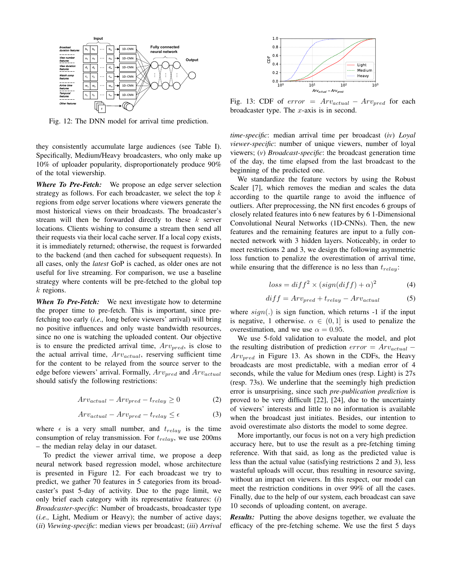

Fig. 12: The DNN model for arrival time prediction.

they consistently accumulate large audiences (see Table I). Specifically, Medium/Heavy broadcasters, who only make up 10% of uploader popularity, disproportionately produce 90% of the total viewership.

*Where To Pre-Fetch:* We propose an edge server selection strategy as follows. For each broadcaster, we select the top  $k$ regions from edge server locations where viewers generate the most historical views on their broadcasts. The broadcaster's stream will then be forwarded directly to these  $k$  server locations. Clients wishing to consume a stream then send all their requests via their local cache server. If a local copy exists, it is immediately returned; otherwise, the request is forwarded to the backend (and then cached for subsequent requests). In all cases, only the *latest* GoP is cached, as older ones are not useful for live streaming. For comparison, we use a baseline strategy where contents will be pre-fetched to the global top  $k$  regions.

*When To Pre-Fetch:* We next investigate how to determine the proper time to pre-fetch. This is important, since prefetching too early (*i.e.,* long before viewers' arrival) will bring no positive influences and only waste bandwidth resources, since no one is watching the uploaded content. Our objective is to ensure the predicted arrival time,  $Arv_{pred}$ , is close to the actual arrival time,  $Arv_{actual}$ , reserving sufficient time for the content to be relayed from the source server to the edge before viewers' arrival. Formally,  $Arv_{pred}$  and  $Arv_{actual}$ should satisfy the following restrictions:

$$
Arv_{actual} - Arv_{pred} - t_{relay} \ge 0
$$
 (2)

$$
Arv_{actual} - Arv_{pred} - t_{relay} \le \epsilon \tag{3}
$$

where  $\epsilon$  is a very small number, and  $t_{relay}$  is the time consumption of relay transmission. For  $t_{relay}$ , we use 200ms – the median relay delay in our dataset.

To predict the viewer arrival time, we propose a deep neural network based regression model, whose architecture is presented in Figure 12. For each broadcast we try to predict, we gather 70 features in 5 categories from its broadcaster's past 5-day of activity. Due to the page limit, we only brief each category with its representative features: (*i*) *Broadcaster-specific*: Number of broadcasts, broadcaster type (*i.e.,* Light, Medium or Heavy); the number of active days; (*ii*) *Viewing-specific*: median views per broadcast; (*iii*) *Arrival*



Fig. 13: CDF of  $error = Arv_{actual} - Arv_{pred}$  for each broadcaster type. The  $x$ -axis is in second.

*time-specific*: median arrival time per broadcast (*iv*) *Loyal viewer-specific*: number of unique viewers, number of loyal viewers; (*v*) *Broadcast-specific*: the broadcast generation time of the day, the time elapsed from the last broadcast to the beginning of the predicted one.

We standardize the feature vectors by using the Robust Scaler [7], which removes the median and scales the data according to the quartile range to avoid the influence of outliers. After preprocessing, the NN first encodes 6 groups of closely related features into 6 new features by 6 1-Dimensional Convolutional Neural Networks (1D-CNNs). Then, the new features and the remaining features are input to a fully connected network with 3 hidden layers. Noticeably, in order to meet restrictions 2 and 3, we design the following asymmetric loss function to penalize the overestimation of arrival time, while ensuring that the difference is no less than  $t_{relay}$ :

$$
loss = diff^2 \times (sign(diff) + \alpha)^2 \tag{4}
$$

$$
diff = Arv_{pred} + t_{relay} - Arv_{actual}
$$
 (5)

where  $sign(.)$  is sign function, which returns -1 if the input is negative, 1 otherwise.  $\alpha \in (0,1]$  is used to penalize the overestimation, and we use  $\alpha = 0.95$ .

We use 5-fold validation to evaluate the model, and plot the resulting distribution of prediction  $error = Arv_{actual}$  –  $Arv_{pred}$  in Figure 13. As shown in the CDFs, the Heavy broadcasts are most predictable, with a median error of 4 seconds, while the value for Medium ones (resp. Light) is 27s (resp. 73s). We underline that the seemingly high prediction error is unsurprising, since such *pre-publication prediction* is proved to be very difficult [22], [24], due to the uncertainty of viewers' interests and little to no information is available when the broadcast just initiates. Besides, our intention to avoid overestimate also distorts the model to some degree.

More importantly, our focus is not on a very high prediction accuracy here, but to use the result as a pre-fetching timing reference. With that said, as long as the predicted value is less than the actual value (satisfying restrictions 2 and 3), less wasteful uploads will occur, thus resulting in resource saving, without an impact on viewers. In this respect, our model can meet the restriction conditions in over 99% of all the cases. Finally, due to the help of our system, each broadcast can save 10 seconds of uploading content, on average.

*Results:* Putting the above designs together, we evaluate the efficacy of the pre-fetching scheme. We use the first 5 days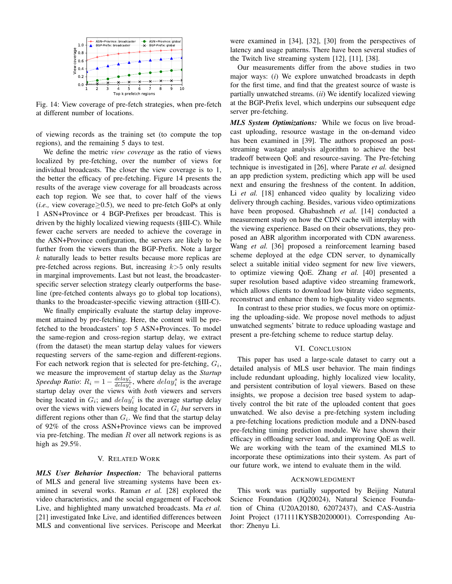

Fig. 14: View coverage of pre-fetch strategies, when pre-fetch at different number of locations.

of viewing records as the training set (to compute the top regions), and the remaining 5 days to test.

We define the metric *view coverage* as the ratio of views localized by pre-fetching, over the number of views for individual broadcasts. The closer the view coverage is to 1, the better the efficacy of pre-fetching. Figure 14 presents the results of the average view coverage for all broadcasts across each top region. We see that, to cover half of the views (*i.e.*, view coverage $\geq$ 0.5), we need to pre-fetch GoPs at only 1 ASN+Province or 4 BGP-Prefixes per broadcast. This is driven by the highly localized viewing requests (§III-C). While fewer cache servers are needed to achieve the coverage in the ASN+Province configuration, the servers are likely to be further from the viewers than the BGP-Prefix. Note a larger k naturally leads to better results because more replicas are pre-fetched across regions. But, increasing  $k>5$  only results in marginal improvements. Last but not least, the broadcasterspecific server selection strategy clearly outperforms the baseline (pre-fetched contents always go to global top locations), thanks to the broadcaster-specific viewing attraction (§III-C).

We finally empirically evaluate the startup delay improvement attained by pre-fetching. Here, the content will be prefetched to the broadcasters' top 5 ASN+Provinces. To model the same-region and cross-region startup delay, we extract (from the dataset) the mean startup delay values for viewers requesting servers of the same-region and different-regions. For each network region that is selected for pre-fetching,  $G_i$ , we measure the improvement of startup delay as the *Startup Speedup Ratio:*  $R_i = 1 - \frac{delay_i^s}{delay_i^c}$ , where  $delay_i^s$  is the average startup delay over the views with *both* viewers and servers being located in  $G_i$ ; and  $delay_i^c$  is the average startup delay over the views with viewers being located in  $G_i$  *but* servers in different regions other than  $G_i$ . We find that the startup delay of 92% of the cross ASN+Province views can be improved via pre-fetching. The median  $R$  over all network regions is as high as 29.5%.

## V. RELATED WORK

*MLS User Behavior Inspection:* The behavioral patterns of MLS and general live streaming systems have been examined in several works. Raman *et al.* [28] explored the video characteristics, and the social engagement of Facebook Live, and highlighted many unwatched broadcasts. Ma *et al.* [21] investigated Inke Live, and identified differences between MLS and conventional live services. Periscope and Meerkat

were examined in [34], [32], [30] from the perspectives of latency and usage patterns. There have been several studies of the Twitch live streaming system [12], [11], [38].

Our measurements differ from the above studies in two major ways: (*i*) We explore unwatched broadcasts in depth for the first time, and find that the greatest source of waste is partially unwatched streams. (*ii*) We identify localized viewing at the BGP-Prefix level, which underpins our subsequent edge server pre-fetching.

*MLS System Optimizations:* While we focus on live broadcast uploading, resource wastage in the on-demand video has been examined in [39]. The authors proposed an poststreaming wastage analysis algorithm to achieve the best tradeoff between QoE and resource-saving. The Pre-fetching technique is investigated in [26], where Parate *et al.* designed an app prediction system, predicting which app will be used next and ensuring the freshness of the content. In addition, Li *et al.* [18] enhanced video quality by localizing video delivery through caching. Besides, various video optimizations have been proposed. Ghabashneh *et al.* [14] conducted a measurement study on how the CDN cache will interplay with the viewing experience. Based on their observations, they proposed an ABR algorithm incorporated with CDN awareness. Wang *et al.* [36] proposed a reinforcement learning based scheme deployed at the edge CDN server, to dynamically select a suitable initial video segment for new live viewers, to optimize viewing QoE. Zhang *et al.* [40] presented a super resolution based adaptive video streaming framework, which allows clients to download low bitrate video segments, reconstruct and enhance them to high-quality video segments.

In contrast to these prior studies, we focus more on optimizing the uploading-side. We propose novel methods to adjust unwatched segments' bitrate to reduce uploading wastage and present a pre-fetching scheme to reduce startup delay.

#### VI. CONCLUSION

This paper has used a large-scale dataset to carry out a detailed analysis of MLS user behavior. The main findings include redundant uploading, highly localized view locality, and persistent contribution of loyal viewers. Based on these insights, we propose a decision tree based system to adaptively control the bit rate of the uploaded content that goes unwatched. We also devise a pre-fetching system including a pre-fetching locations prediction module and a DNN-based pre-fetching timing prediction module. We have shown their efficacy in offloading server load, and improving QoE as well. We are working with the team of the examined MLS to incorporate these optimizations into their system. As part of our future work, we intend to evaluate them in the wild.

### ACKNOWLEDGMENT

This work was partially supported by Beijing Natural Science Foundation (JQ20024), Natural Science Foundation of China (U20A20180, 62072437), and CAS-Austria Joint Project (171111KYSB20200001). Corresponding Author: Zhenyu Li.